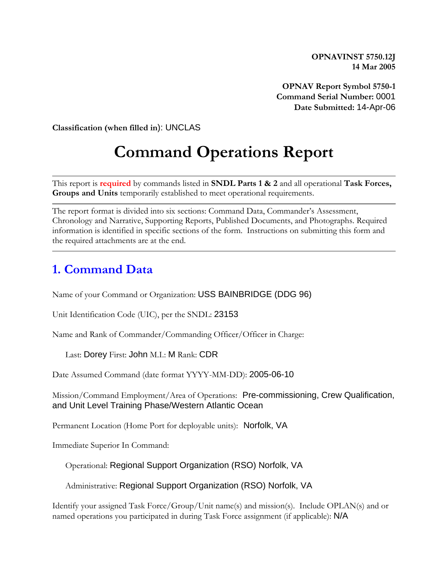**OPNAVINST 5750.12J 14 Mar 2005**

**OPNAV Report Symbol 5750-1 Command Serial Number:** 0001 **Date Submitted:** 14-Apr-06

**Classification (when filled in**): UNCLAS

# **Command Operations Report**

This report is **required** by commands listed in **SNDL Parts 1 & 2** and all operational **Task Forces, Groups and Units** temporarily established to meet operational requirements.

The report format is divided into six sections: Command Data, Commander's Assessment, Chronology and Narrative, Supporting Reports, Published Documents, and Photographs. Required information is identified in specific sections of the form. Instructions on submitting this form and the required attachments are at the end.

### **1. Command Data**

Name of your Command or Organization: USS BAINBRIDGE (DDG 96)

Unit Identification Code (UIC), per the SNDL: 23153

Name and Rank of Commander/Commanding Officer/Officer in Charge:

Last: Dorey First: John M.I.: M Rank: CDR

Date Assumed Command (date format YYYY-MM-DD): 2005-06-10

Mission/Command Employment/Area of Operations: Pre-commissioning, Crew Qualification, and Unit Level Training Phase/Western Atlantic Ocean

Permanent Location (Home Port for deployable units): Norfolk, VA

Immediate Superior In Command:

Operational: Regional Support Organization (RSO) Norfolk, VA

Administrative: Regional Support Organization (RSO) Norfolk, VA

Identify your assigned Task Force/Group/Unit name(s) and mission(s). Include OPLAN(s) and or named operations you participated in during Task Force assignment (if applicable): N/A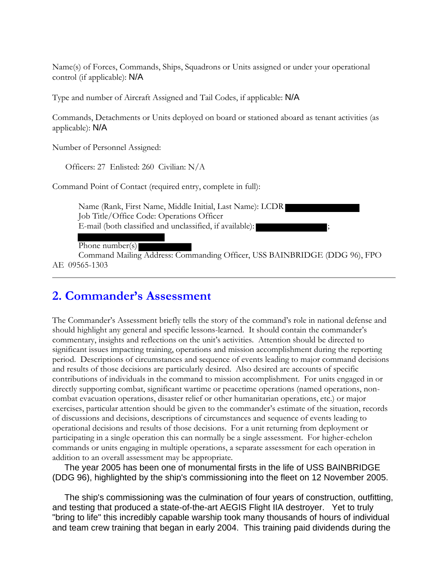Name(s) of Forces, Commands, Ships, Squadrons or Units assigned or under your operational control (if applicable): N/A

Type and number of Aircraft Assigned and Tail Codes, if applicable: N/A

Commands, Detachments or Units deployed on board or stationed aboard as tenant activities (as applicable): N/A

Number of Personnel Assigned:

Officers: 27 Enlisted: 260 Civilian: N/A

Command Point of Contact (required entry, complete in full):

Name (Rank, First Name, Middle Initial, Last Name): LCDR Job Title/Office Code: Operations Officer E-mail (both classified and unclassified, if available):

Phone number(s)

Command Mailing Address: Commanding Officer, USS BAINBRIDGE (DDG 96), FPO AE 09565-1303

### **2. Commander's Assessment**

The Commander's Assessment briefly tells the story of the command's role in national defense and should highlight any general and specific lessons-learned. It should contain the commander's commentary, insights and reflections on the unit's activities. Attention should be directed to significant issues impacting training, operations and mission accomplishment during the reporting period. Descriptions of circumstances and sequence of events leading to major command decisions and results of those decisions are particularly desired. Also desired are accounts of specific contributions of individuals in the command to mission accomplishment. For units engaged in or directly supporting combat, significant wartime or peacetime operations (named operations, noncombat evacuation operations, disaster relief or other humanitarian operations, etc.) or major exercises, particular attention should be given to the commander's estimate of the situation, records of discussions and decisions, descriptions of circumstances and sequence of events leading to operational decisions and results of those decisions. For a unit returning from deployment or participating in a single operation this can normally be a single assessment. For higher-echelon commands or units engaging in multiple operations, a separate assessment for each operation in addition to an overall assessment may be appropriate.

 The year 2005 has been one of monumental firsts in the life of USS BAINBRIDGE (DDG 96), highlighted by the ship's commissioning into the fleet on 12 November 2005.

 The ship's commissioning was the culmination of four years of construction, outfitting, and testing that produced a state-of-the-art AEGIS Flight IIA destroyer. Yet to truly "bring to life" this incredibly capable warship took many thousands of hours of individual and team crew training that began in early 2004. This training paid dividends during the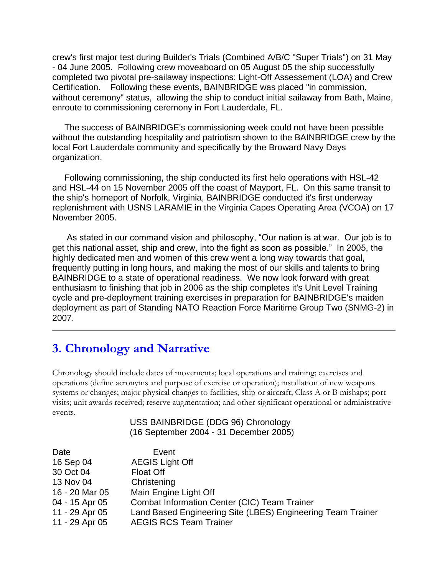crew's first major test during Builder's Trials (Combined A/B/C "Super Trials") on 31 May - 04 June 2005. Following crew moveaboard on 05 August 05 the ship successfully completed two pivotal pre-sailaway inspections: Light-Off Assessement (LOA) and Crew Certification. Following these events, BAINBRIDGE was placed "in commission, without ceremony" status, allowing the ship to conduct initial sailaway from Bath, Maine, enroute to commissioning ceremony in Fort Lauderdale, FL.

 The success of BAINBRIDGE's commissioning week could not have been possible without the outstanding hospitality and patriotism shown to the BAINBRIDGE crew by the local Fort Lauderdale community and specifically by the Broward Navy Days organization.

 Following commissioning, the ship conducted its first helo operations with HSL-42 and HSL-44 on 15 November 2005 off the coast of Mayport, FL. On this same transit to the ship's homeport of Norfolk, Virginia, BAINBRIDGE conducted it's first underway replenishment with USNS LARAMIE in the Virginia Capes Operating Area (VCOA) on 17 November 2005.

 As stated in our command vision and philosophy, "Our nation is at war. Our job is to get this national asset, ship and crew, into the fight as soon as possible." In 2005, the highly dedicated men and women of this crew went a long way towards that goal, frequently putting in long hours, and making the most of our skills and talents to bring BAINBRIDGE to a state of operational readiness. We now look forward with great enthusiasm to finishing that job in 2006 as the ship completes it's Unit Level Training cycle and pre-deployment training exercises in preparation for BAINBRIDGE's maiden deployment as part of Standing NATO Reaction Force Maritime Group Two (SNMG-2) in 2007.

### **3. Chronology and Narrative**

Chronology should include dates of movements; local operations and training; exercises and operations (define acronyms and purpose of exercise or operation); installation of new weapons systems or changes; major physical changes to facilities, ship or aircraft; Class A or B mishaps; port visits; unit awards received; reserve augmentation; and other significant operational or administrative events.

#### USS BAINBRIDGE (DDG 96) Chronology (16 September 2004 - 31 December 2005)

| Date           | Event                                                       |
|----------------|-------------------------------------------------------------|
| 16 Sep 04      | <b>AEGIS Light Off</b>                                      |
| 30 Oct 04      | <b>Float Off</b>                                            |
| 13 Nov 04      | Christening                                                 |
| 16 - 20 Mar 05 | Main Engine Light Off                                       |
| 04 - 15 Apr 05 | Combat Information Center (CIC) Team Trainer                |
| 11 - 29 Apr 05 | Land Based Engineering Site (LBES) Engineering Team Trainer |
| 11 - 29 Apr 05 | <b>AEGIS RCS Team Trainer</b>                               |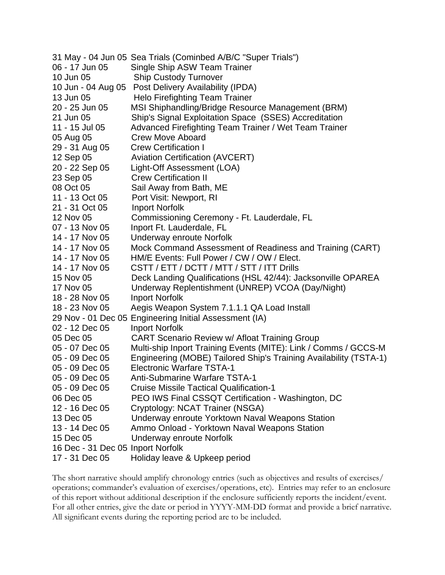|                                   | 31 May - 04 Jun 05 Sea Trials (Cominbed A/B/C "Super Trials")     |
|-----------------------------------|-------------------------------------------------------------------|
| 06 - 17 Jun 05                    | Single Ship ASW Team Trainer                                      |
| 10 Jun 05                         | <b>Ship Custody Turnover</b>                                      |
| 10 Jun - 04 Aug 05                | <b>Post Delivery Availability (IPDA)</b>                          |
| 13 Jun 05                         | <b>Helo Firefighting Team Trainer</b>                             |
| 20 - 25 Jun 05                    | MSI Shiphandling/Bridge Resource Management (BRM)                 |
| 21 Jun 05                         | Ship's Signal Exploitation Space (SSES) Accreditation             |
| 11 - 15 Jul 05                    | Advanced Firefighting Team Trainer / Wet Team Trainer             |
| 05 Aug 05                         | <b>Crew Move Aboard</b>                                           |
| 29 - 31 Aug 05                    | <b>Crew Certification I</b>                                       |
| 12 Sep 05                         | <b>Aviation Certification (AVCERT)</b>                            |
| 20 - 22 Sep 05                    | Light-Off Assessment (LOA)                                        |
| 23 Sep 05                         | <b>Crew Certification II</b>                                      |
| 08 Oct 05                         | Sail Away from Bath, ME                                           |
| 11 - 13 Oct 05                    | Port Visit: Newport, RI                                           |
| 21 - 31 Oct 05                    | <b>Inport Norfolk</b>                                             |
| 12 Nov 05                         | Commissioning Ceremony - Ft. Lauderdale, FL                       |
| 07 - 13 Nov 05                    | Inport Ft. Lauderdale, FL                                         |
| 14 - 17 Nov 05                    | Underway enroute Norfolk                                          |
| 14 - 17 Nov 05                    | Mock Command Assessment of Readiness and Training (CART)          |
| 14 - 17 Nov 05                    | HM/E Events: Full Power / CW / OW / Elect.                        |
| 14 - 17 Nov 05                    | CSTT / ETT / DCTT / MTT / STT / ITT Drills                        |
| 15 Nov 05                         | Deck Landing Qualifications (HSL 42/44): Jacksonville OPAREA      |
| 17 Nov 05                         | Underway Replentishment (UNREP) VCOA (Day/Night)                  |
| 18 - 28 Nov 05                    | <b>Inport Norfolk</b>                                             |
| 18 - 23 Nov 05                    | Aegis Weapon System 7.1.1.1 QA Load Install                       |
|                                   | 29 Nov - 01 Dec 05 Engineering Initial Assessment (IA)            |
| 02 - 12 Dec 05                    | <b>Inport Norfolk</b>                                             |
| 05 Dec 05                         | <b>CART Scenario Review w/ Afloat Training Group</b>              |
| 05 - 07 Dec 05                    | Multi-ship Inport Training Events (MITE): Link / Comms / GCCS-M   |
| 05 - 09 Dec 05                    | Engineering (MOBE) Tailored Ship's Training Availability (TSTA-1) |
| 05 - 09 Dec 05                    | <b>Electronic Warfare TSTA-1</b>                                  |
| 05 - 09 Dec 05                    | <b>Anti-Submarine Warfare TSTA-1</b>                              |
| 05 - 09 Dec 05                    | <b>Cruise Missile Tactical Qualification-1</b>                    |
| 06 Dec 05                         | PEO IWS Final CSSQT Certification - Washington, DC                |
| 12 - 16 Dec 05                    | Cryptology: NCAT Trainer (NSGA)                                   |
| 13 Dec 05                         | <b>Underway enroute Yorktown Naval Weapons Station</b>            |
| 13 - 14 Dec 05                    | Ammo Onload - Yorktown Naval Weapons Station                      |
| 15 Dec 05                         | Underway enroute Norfolk                                          |
| 16 Dec - 31 Dec 05 Inport Norfolk |                                                                   |
| 17 - 31 Dec 05                    | Holiday leave & Upkeep period                                     |

The short narrative should amplify chronology entries (such as objectives and results of exercises/ operations; commander's evaluation of exercises/operations, etc). Entries may refer to an enclosure of this report without additional description if the enclosure sufficiently reports the incident/event. For all other entries, give the date or period in YYYY-MM-DD format and provide a brief narrative. All significant events during the reporting period are to be included.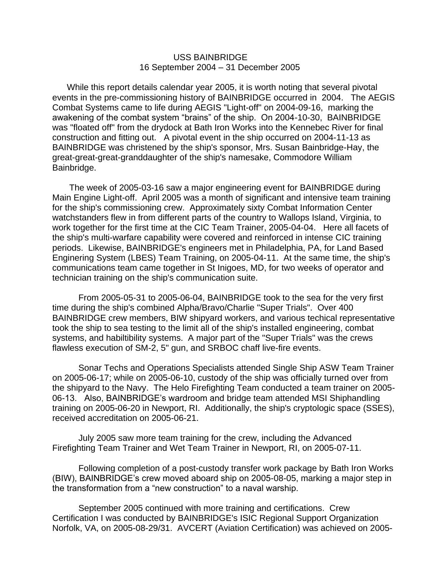#### USS BAINBRIDGE 16 September 2004 – 31 December 2005

 While this report details calendar year 2005, it is worth noting that several pivotal events in the pre-commissioning history of BAINBRIDGE occurred in 2004. The AEGIS Combat Systems came to life during AEGIS "Light-off" on 2004-09-16, marking the awakening of the combat system "brains" of the ship. On 2004-10-30, BAINBRIDGE was "floated off" from the drydock at Bath Iron Works into the Kennebec River for final construction and fitting out. A pivotal event in the ship occurred on 2004-11-13 as BAINBRIDGE was christened by the ship's sponsor, Mrs. Susan Bainbridge-Hay, the great-great-great-granddaughter of the ship's namesake, Commodore William Bainbridge.

 The week of 2005-03-16 saw a major engineering event for BAINBRIDGE during Main Engine Light-off. April 2005 was a month of significant and intensive team training for the ship's commissioning crew. Approximately sixty Combat Information Center watchstanders flew in from different parts of the country to Wallops Island, Virginia, to work together for the first time at the CIC Team Trainer, 2005-04-04. Here all facets of the ship's multi-warfare capability were covered and reinforced in intense CIC training periods. Likewise, BAINBRIDGE's engineers met in Philadelphia, PA, for Land Based Enginering System (LBES) Team Training, on 2005-04-11. At the same time, the ship's communications team came together in St Inigoes, MD, for two weeks of operator and technician training on the ship's communication suite.

From 2005-05-31 to 2005-06-04, BAINBRIDGE took to the sea for the very first time during the ship's combined Alpha/Bravo/Charlie "Super Trials". Over 400 BAINBRIDGE crew members, BIW shipyard workers, and various techical representative took the ship to sea testing to the limit all of the ship's installed engineering, combat systems, and habiltibility systems. A major part of the "Super Trials" was the crews flawless execution of SM-2, 5" gun, and SRBOC chaff live-fire events.

Sonar Techs and Operations Specialists attended Single Ship ASW Team Trainer on 2005-06-17; while on 2005-06-10, custody of the ship was officially turned over from the shipyard to the Navy. The Helo Firefighting Team conducted a team trainer on 2005- 06-13. Also, BAINBRIDGE's wardroom and bridge team attended MSI Shiphandling training on 2005-06-20 in Newport, RI. Additionally, the ship's cryptologic space (SSES), received accreditation on 2005-06-21.

July 2005 saw more team training for the crew, including the Advanced Firefighting Team Trainer and Wet Team Trainer in Newport, RI, on 2005-07-11.

Following completion of a post-custody transfer work package by Bath Iron Works (BIW), BAINBRIDGE's crew moved aboard ship on 2005-08-05, marking a major step in the transformation from a "new construction" to a naval warship.

September 2005 continued with more training and certifications. Crew Certification I was conducted by BAINBRIDGE's ISIC Regional Support Organization Norfolk, VA, on 2005-08-29/31. AVCERT (Aviation Certification) was achieved on 2005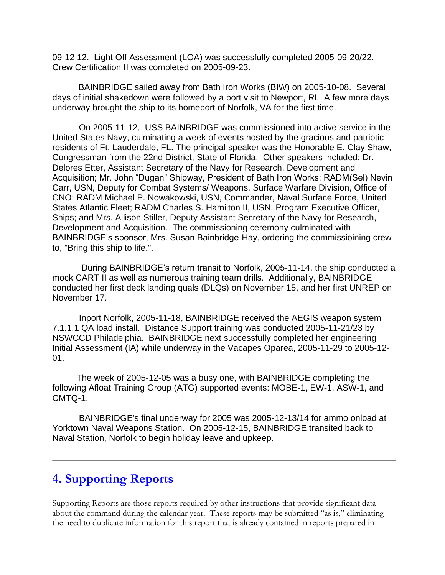09-12 12. Light Off Assessment (LOA) was successfully completed 2005-09-20/22. Crew Certification II was completed on 2005-09-23.

BAINBRIDGE sailed away from Bath Iron Works (BIW) on 2005-10-08. Several days of initial shakedown were followed by a port visit to Newport, RI. A few more days underway brought the ship to its homeport of Norfolk, VA for the first time.

 On 2005-11-12, USS BAINBRIDGE was commissioned into active service in the United States Navy, culminating a week of events hosted by the gracious and patriotic residents of Ft. Lauderdale, FL. The principal speaker was the Honorable E. Clay Shaw, Congressman from the 22nd District, State of Florida. Other speakers included: Dr. Delores Etter, Assistant Secretary of the Navy for Research, Development and Acquisition; Mr. John "Dugan" Shipway, President of Bath Iron Works; RADM(Sel) Nevin Carr, USN, Deputy for Combat Systems/ Weapons, Surface Warfare Division, Office of CNO; RADM Michael P. Nowakowski, USN, Commander, Naval Surface Force, United States Atlantic Fleet; RADM Charles S. Hamilton II, USN, Program Executive Officer, Ships; and Mrs. Allison Stiller, Deputy Assistant Secretary of the Navy for Research, Development and Acquisition. The commissioning ceremony culminated with BAINBRIDGE's sponsor, Mrs. Susan Bainbridge-Hay, ordering the commissioining crew to, "Bring this ship to life.".

 During BAINBRIDGE's return transit to Norfolk, 2005-11-14, the ship conducted a mock CART II as well as numerous training team drills. Additionally, BAINBRIDGE conducted her first deck landing quals (DLQs) on November 15, and her first UNREP on November 17.

 Inport Norfolk, 2005-11-18, BAINBRIDGE received the AEGIS weapon system 7.1.1.1 QA load install. Distance Support training was conducted 2005-11-21/23 by NSWCCD Philadelphia. BAINBRIDGE next successfully completed her engineering Initial Assessment (IA) while underway in the Vacapes Oparea, 2005-11-29 to 2005-12- 01.

 The week of 2005-12-05 was a busy one, with BAINBRIDGE completing the following Afloat Training Group (ATG) supported events: MOBE-1, EW-1, ASW-1, and CMTQ-1.

 BAINBRIDGE's final underway for 2005 was 2005-12-13/14 for ammo onload at Yorktown Naval Weapons Station. On 2005-12-15, BAINBRIDGE transited back to Naval Station, Norfolk to begin holiday leave and upkeep.

## **4. Supporting Reports**

Supporting Reports are those reports required by other instructions that provide significant data about the command during the calendar year. These reports may be submitted "as is," eliminating the need to duplicate information for this report that is already contained in reports prepared in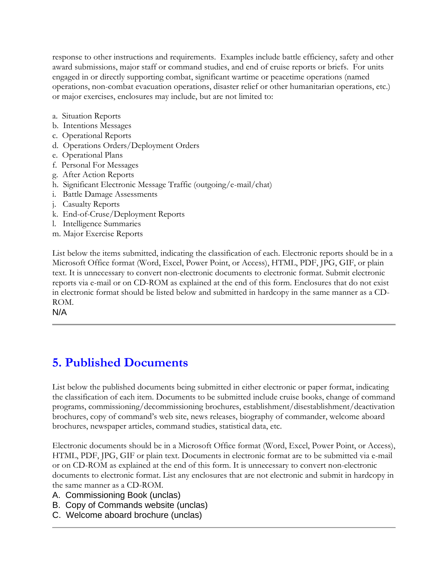response to other instructions and requirements. Examples include battle efficiency, safety and other award submissions, major staff or command studies, and end of cruise reports or briefs. For units engaged in or directly supporting combat, significant wartime or peacetime operations (named operations, non-combat evacuation operations, disaster relief or other humanitarian operations, etc.) or major exercises, enclosures may include, but are not limited to:

- a. Situation Reports
- b. Intentions Messages
- c. Operational Reports
- d. Operations Orders/Deployment Orders
- e. Operational Plans
- f. Personal For Messages
- g. After Action Reports
- h. Significant Electronic Message Traffic (outgoing/e-mail/chat)
- i. Battle Damage Assessments
- j. Casualty Reports
- k. End-of-Cruse/Deployment Reports
- l. Intelligence Summaries
- m. Major Exercise Reports

List below the items submitted, indicating the classification of each. Electronic reports should be in a Microsoft Office format (Word, Excel, Power Point, or Access), HTML, PDF, JPG, GIF, or plain text. It is unnecessary to convert non-electronic documents to electronic format. Submit electronic reports via e-mail or on CD-ROM as explained at the end of this form. Enclosures that do not exist in electronic format should be listed below and submitted in hardcopy in the same manner as a CD-ROM.

N/A

## **5. Published Documents**

List below the published documents being submitted in either electronic or paper format, indicating the classification of each item. Documents to be submitted include cruise books, change of command programs, commissioning/decommissioning brochures, establishment/disestablishment/deactivation brochures, copy of command's web site, news releases, biography of commander, welcome aboard brochures, newspaper articles, command studies, statistical data, etc.

Electronic documents should be in a Microsoft Office format (Word, Excel, Power Point, or Access), HTML, PDF, JPG, GIF or plain text. Documents in electronic format are to be submitted via e-mail or on CD-ROM as explained at the end of this form. It is unnecessary to convert non-electronic documents to electronic format. List any enclosures that are not electronic and submit in hardcopy in the same manner as a CD-ROM.

A. Commissioning Book (unclas)

- B. Copy of Commands website (unclas)
- C. Welcome aboard brochure (unclas)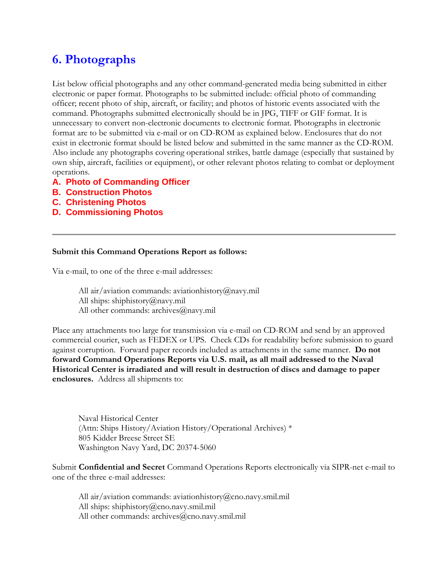# **6. Photographs**

List below official photographs and any other command-generated media being submitted in either electronic or paper format. Photographs to be submitted include: official photo of commanding officer; recent photo of ship, aircraft, or facility; and photos of historic events associated with the command. Photographs submitted electronically should be in JPG, TIFF or GIF format. It is unnecessary to convert non-electronic documents to electronic format. Photographs in electronic format are to be submitted via e-mail or on CD-ROM as explained below. Enclosures that do not exist in electronic format should be listed below and submitted in the same manner as the CD-ROM. Also include any photographs covering operational strikes, battle damage (especially that sustained by own ship, aircraft, facilities or equipment), or other relevant photos relating to combat or deployment operations.

- **A. Photo of Commanding Officer**
- **B. Construction Photos**
- **C. Christening Photos**
- **D. Commissioning Photos**

#### **Submit this Command Operations Report as follows:**

Via e-mail, to one of the three e-mail addresses:

All air/aviation commands: aviationhistory@navy.mil All ships: shiphistory@navy.mil All other commands: archives@navy.mil

Place any attachments too large for transmission via e-mail on CD-ROM and send by an approved commercial courier, such as FEDEX or UPS. Check CDs for readability before submission to guard against corruption. Forward paper records included as attachments in the same manner. **Do not forward Command Operations Reports via U.S. mail, as all mail addressed to the Naval Historical Center is irradiated and will result in destruction of discs and damage to paper enclosures.** Address all shipments to:

Naval Historical Center (Attn: Ships History/Aviation History/Operational Archives) \* 805 Kidder Breese Street SE Washington Navy Yard, DC 20374-5060

Submit **Confidential and Secret** Command Operations Reports electronically via SIPR-net e-mail to one of the three e-mail addresses:

All air/aviation commands: aviationhistory@cno.navy.smil.mil All ships: shiphistory@cno.navy.smil.mil All other commands: archives@cno.navy.smil.mil